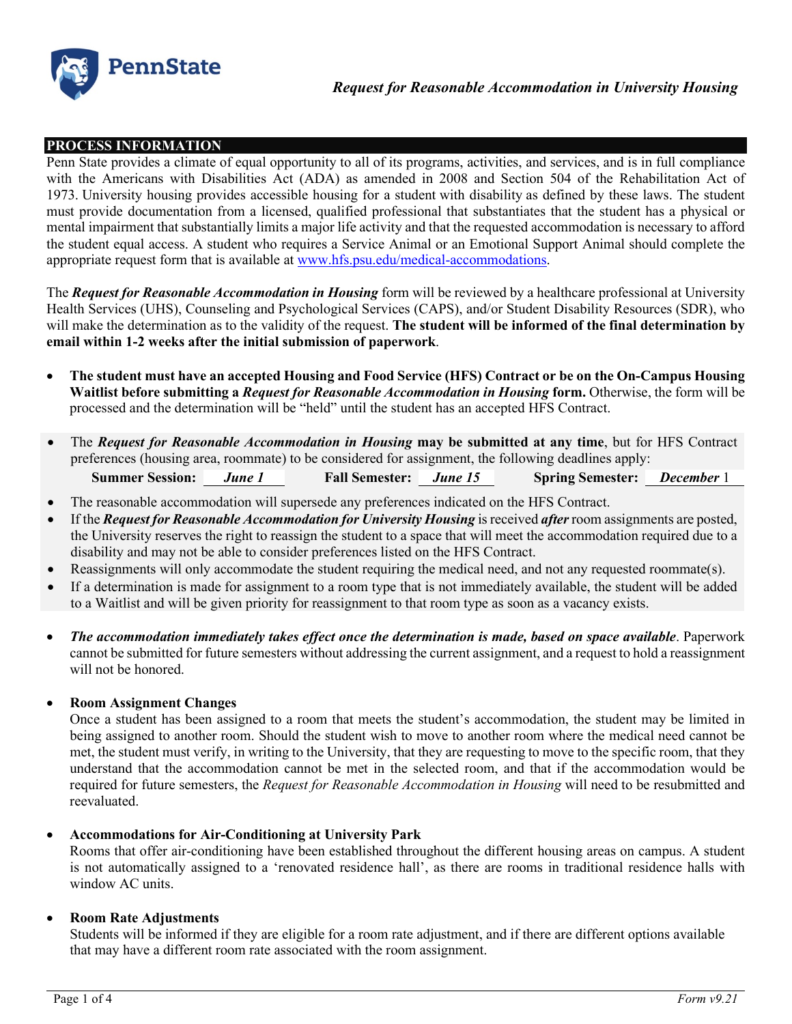

## **PROCESS INFORMATION**

Penn State provides a climate of equal opportunity to all of its programs, activities, and services, and is in full compliance with the Americans with Disabilities Act (ADA) as amended in 2008 and Section 504 of the Rehabilitation Act of 1973. University housing provides accessible housing for a student with disability as defined by these laws. The student must provide documentation from a licensed, qualified professional that substantiates that the student has a physical or mental impairment that substantially limits a major life activity and that the requested accommodation is necessary to afford the student equal access. A student who requires a Service Animal or an Emotional Support Animal should complete the appropriate request form that is available at [www.hfs.psu.edu/medical-accommodations.](http://www.hfs.psu.edu/medical-accommodations)

The *Request for Reasonable Accommodation in Housing* form will be reviewed by a healthcare professional at University Health Services (UHS), Counseling and Psychological Services (CAPS), and/or Student Disability Resources (SDR), who will make the determination as to the validity of the request. **The student will be informed of the final determination by email within 1-2 weeks after the initial submission of paperwork**.

- **The student must have an accepted Housing and Food Service (HFS) Contract or be on the On-Campus Housing Waitlist before submitting a** *Request for Reasonable Accommodation in Housing* **form.** Otherwise, the form will be processed and the determination will be "held" until the student has an accepted HFS Contract.
- The *Request for Reasonable Accommodation in Housing* **may be submitted at any time**, but for HFS Contract preferences (housing area, roommate) to be considered for assignment, the following deadlines apply:

| <b>Summer Session:</b> | June 1 | <b>Fall Semester:</b> | June 15 | <b>Spring Semester:</b> | <b>December</b> 1 |
|------------------------|--------|-----------------------|---------|-------------------------|-------------------|
|------------------------|--------|-----------------------|---------|-------------------------|-------------------|

- The reasonable accommodation will supersede any preferences indicated on the HFS Contract.
- If the *Request for Reasonable Accommodation for University Housing* is received *after*room assignments are posted, the University reserves the right to reassign the student to a space that will meet the accommodation required due to a disability and may not be able to consider preferences listed on the HFS Contract.
- Reassignments will only accommodate the student requiring the medical need, and not any requested roommate(s).
- If a determination is made for assignment to a room type that is not immediately available, the student will be added to a Waitlist and will be given priority for reassignment to that room type as soon as a vacancy exists.
- *The accommodation immediately takes effect once the determination is made, based on space available*. Paperwork cannot be submitted for future semesters without addressing the current assignment, and a request to hold a reassignment will not be honored.
- **Room Assignment Changes**

Once a student has been assigned to a room that meets the student's accommodation, the student may be limited in being assigned to another room. Should the student wish to move to another room where the medical need cannot be met, the student must verify, in writing to the University, that they are requesting to move to the specific room, that they understand that the accommodation cannot be met in the selected room, and that if the accommodation would be required for future semesters, the *Request for Reasonable Accommodation in Housing* will need to be resubmitted and reevaluated.

### • **Accommodations for Air-Conditioning at University Park**

Rooms that offer air-conditioning have been established throughout the different housing areas on campus. A student is not automatically assigned to a 'renovated residence hall', as there are rooms in traditional residence halls with window AC units.

### • **Room Rate Adjustments**

Students will be informed if they are eligible for a room rate adjustment, and if there are different options available that may have a different room rate associated with the room assignment.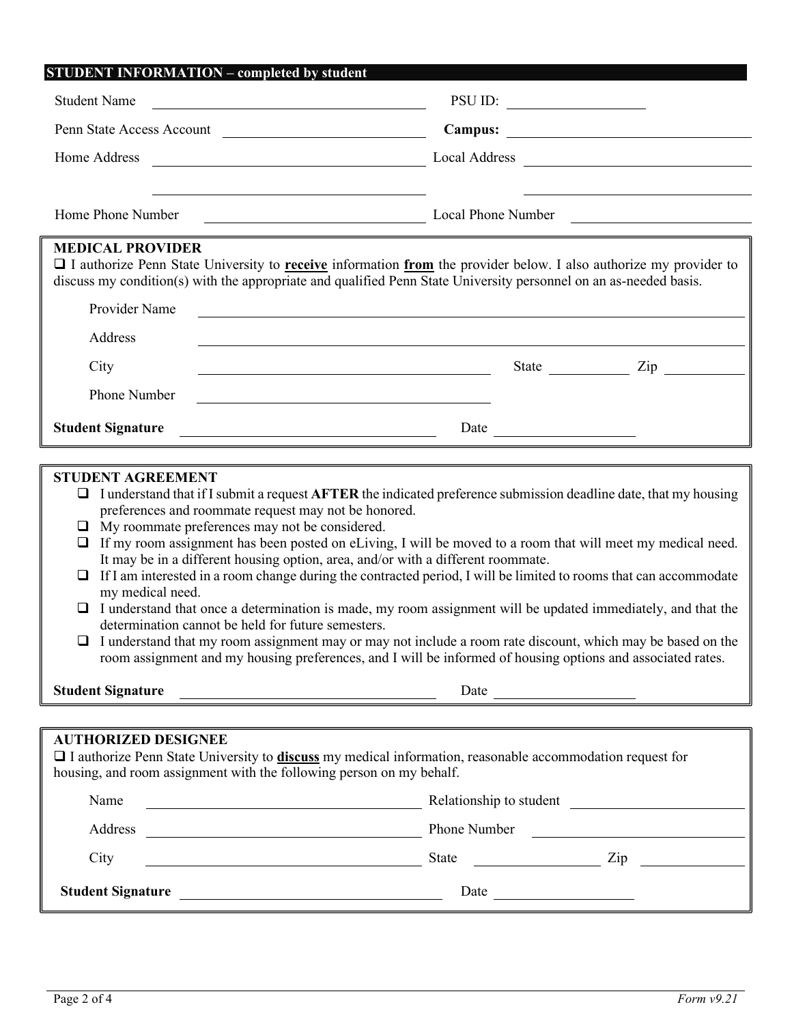| <b>STUDENT INFORMATION - completed by student</b>                                                                                             |                                                                                                                                                                                                                                               |                      |
|-----------------------------------------------------------------------------------------------------------------------------------------------|-----------------------------------------------------------------------------------------------------------------------------------------------------------------------------------------------------------------------------------------------|----------------------|
| <b>Student Name</b>                                                                                                                           |                                                                                                                                                                                                                                               |                      |
| Penn State Access Account                                                                                                                     |                                                                                                                                                                                                                                               |                      |
| Home Address<br><u> 1989 - Johann Barn, fransk politik amerikansk politik (</u>                                                               |                                                                                                                                                                                                                                               |                      |
| Home Phone Number                                                                                                                             | Local Phone Number<br><u> 1989 - Johann Stoff, deutscher Stoffen und der Stoffen und der Stoffen und der Stoffen und der Stoffen und de</u>                                                                                                   |                      |
| Provider Name                                                                                                                                 | I authorize Penn State University to <b>receive</b> information from the provider below. I also authorize my provider to<br>discuss my condition(s) with the appropriate and qualified Penn State University personnel on an as-needed basis. |                      |
| Address                                                                                                                                       |                                                                                                                                                                                                                                               |                      |
| City                                                                                                                                          |                                                                                                                                                                                                                                               | State <u>Dip</u> Zip |
| Phone Number                                                                                                                                  |                                                                                                                                                                                                                                               |                      |
| <b>Student Signature</b>                                                                                                                      | <u> 1980 - John Stone, amerikansk politiker (</u> † 1900)                                                                                                                                                                                     |                      |
|                                                                                                                                               | <u> 1989 - Andrea Santana, amerikana amerikana amerikana amerikana amerikana amerikana amerikana amerikana amerika</u>                                                                                                                        |                      |
| <b>STUDENT AGREEMENT</b><br>⊔<br>preferences and roommate request may not be honored.<br>$\Box$ My roommate preferences may not be considered | I understand that if I submit a request <b>AFTER</b> the indicated preference submission deadline date, that my housing                                                                                                                       |                      |

- My roommate preferences may not be considered.  $\Box$  If my room assignment has been posted on eLiving, I will be moved to a room that will meet my medical need.
- It may be in a different housing option, area, and/or with a different roommate.
- $\Box$  If I am interested in a room change during the contracted period, I will be limited to rooms that can accommodate my medical need.
- $\Box$  I understand that once a determination is made, my room assignment will be updated immediately, and that the determination cannot be held for future semesters.
- $\Box$  I understand that my room assignment may or may not include a room rate discount, which may be based on the room assignment and my housing preferences, and I will be informed of housing options and associated rates.

| <b>Student Signature</b> | Date |
|--------------------------|------|
|                          |      |

# **AUTHORIZED DESIGNEE**

 I authorize Penn State University to **discuss** my medical information, reasonable accommodation request for housing, and room assignment with the following person on my behalf.

| Name                     | Relationship to student |                   |
|--------------------------|-------------------------|-------------------|
| Address                  | Phone Number            |                   |
| City                     | <b>State</b>            | $\overline{Z}$ ip |
| <b>Student Signature</b> | Date                    |                   |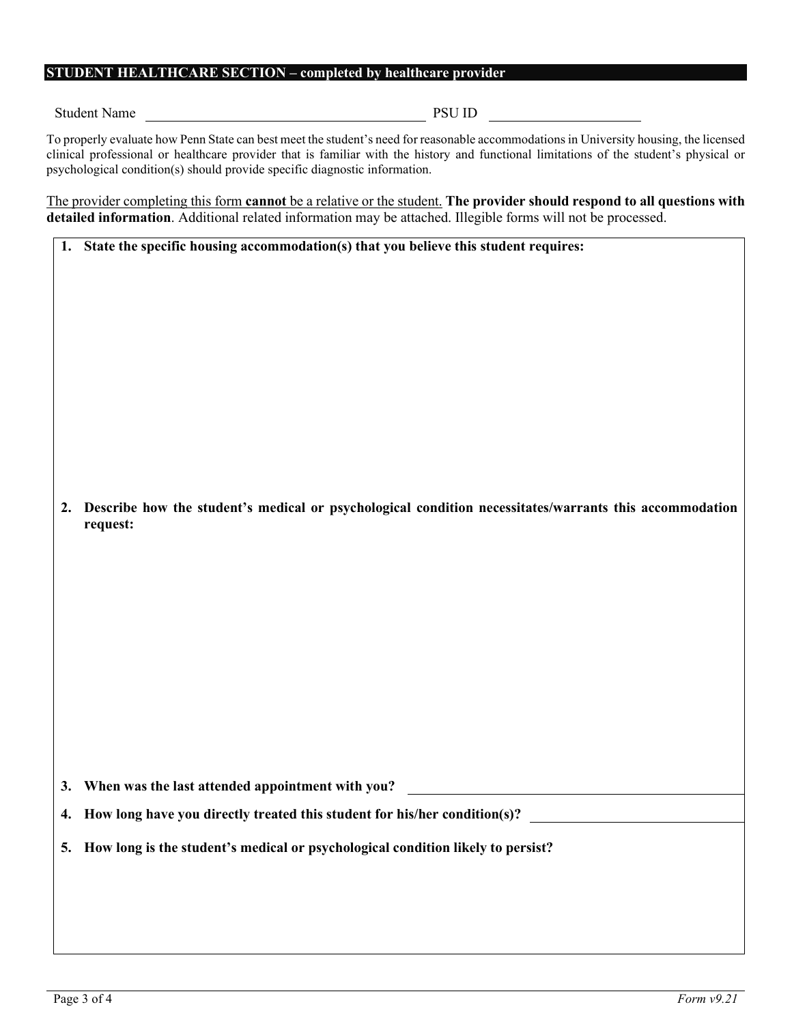### **STUDENT HEALTHCARE SECTION – completed by healthcare provider**

Student Name PSU ID

To properly evaluate how Penn State can best meet the student's need for reasonable accommodations in University housing, the licensed clinical professional or healthcare provider that is familiar with the history and functional limitations of the student's physical or psychological condition(s) should provide specific diagnostic information.

The provider completing this form **cannot** be a relative or the student. **The provider should respond to all questions with detailed information**. Additional related information may be attached. Illegible forms will not be processed.

|  | 1. State the specific housing accommodation(s) that you believe this student requires: |
|--|----------------------------------------------------------------------------------------|
|--|----------------------------------------------------------------------------------------|

**2. Describe how the student's medical or psychological condition necessitates/warrants this accommodation request:** 

**3. When was the last attended appointment with you?**

- **4. How long have you directly treated this student for his/her condition(s)?**
- **5. How long is the student's medical or psychological condition likely to persist?**